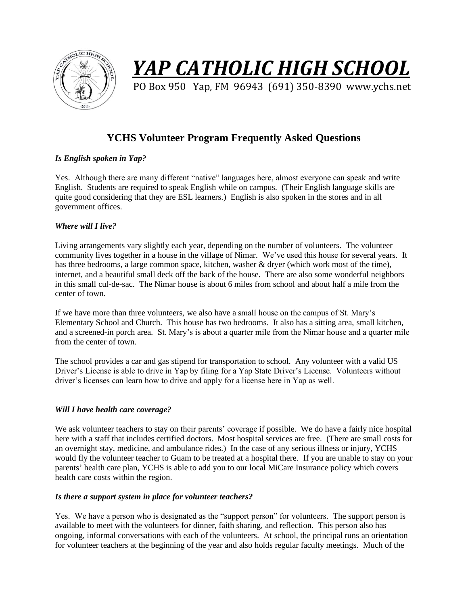

# *YAP CATHOLIC HIGH SCHOOL*

PO Box 950 Yap, FM 96943 (691) 350-8390 www.ychs.net

# **YCHS Volunteer Program Frequently Asked Questions**

# *Is English spoken in Yap?*

Yes. Although there are many different "native" languages here, almost everyone can speak and write English. Students are required to speak English while on campus. (Their English language skills are quite good considering that they are ESL learners.) English is also spoken in the stores and in all government offices.

# *Where will I live?*

Living arrangements vary slightly each year, depending on the number of volunteers. The volunteer community lives together in a house in the village of Nimar. We've used this house for several years. It has three bedrooms, a large common space, kitchen, washer & dryer (which work most of the time), internet, and a beautiful small deck off the back of the house. There are also some wonderful neighbors in this small cul-de-sac. The Nimar house is about 6 miles from school and about half a mile from the center of town.

If we have more than three volunteers, we also have a small house on the campus of St. Mary's Elementary School and Church. This house has two bedrooms. It also has a sitting area, small kitchen, and a screened-in porch area. St. Mary's is about a quarter mile from the Nimar house and a quarter mile from the center of town.

The school provides a car and gas stipend for transportation to school. Any volunteer with a valid US Driver's License is able to drive in Yap by filing for a Yap State Driver's License. Volunteers without driver's licenses can learn how to drive and apply for a license here in Yap as well.

# *Will I have health care coverage?*

We ask volunteer teachers to stay on their parents' coverage if possible. We do have a fairly nice hospital here with a staff that includes certified doctors. Most hospital services are free. (There are small costs for an overnight stay, medicine, and ambulance rides.) In the case of any serious illness or injury, YCHS would fly the volunteer teacher to Guam to be treated at a hospital there. If you are unable to stay on your parents' health care plan, YCHS is able to add you to our local MiCare Insurance policy which covers health care costs within the region.

# *Is there a support system in place for volunteer teachers?*

Yes. We have a person who is designated as the "support person" for volunteers. The support person is available to meet with the volunteers for dinner, faith sharing, and reflection. This person also has ongoing, informal conversations with each of the volunteers. At school, the principal runs an orientation for volunteer teachers at the beginning of the year and also holds regular faculty meetings. Much of the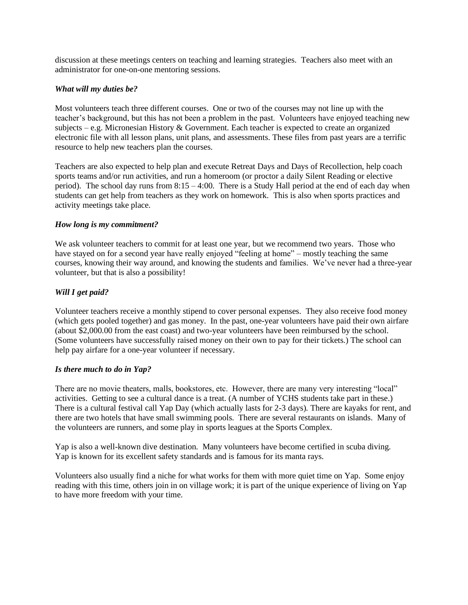discussion at these meetings centers on teaching and learning strategies. Teachers also meet with an administrator for one-on-one mentoring sessions.

#### *What will my duties be?*

Most volunteers teach three different courses. One or two of the courses may not line up with the teacher's background, but this has not been a problem in the past. Volunteers have enjoyed teaching new subjects – e.g. Micronesian History  $\&$  Government. Each teacher is expected to create an organized electronic file with all lesson plans, unit plans, and assessments. These files from past years are a terrific resource to help new teachers plan the courses.

Teachers are also expected to help plan and execute Retreat Days and Days of Recollection, help coach sports teams and/or run activities, and run a homeroom (or proctor a daily Silent Reading or elective period). The school day runs from  $8:15 - 4:00$ . There is a Study Hall period at the end of each day when students can get help from teachers as they work on homework. This is also when sports practices and activity meetings take place.

#### *How long is my commitment?*

We ask volunteer teachers to commit for at least one year, but we recommend two years. Those who have stayed on for a second year have really enjoyed "feeling at home" – mostly teaching the same courses, knowing their way around, and knowing the students and families. We've never had a three-year volunteer, but that is also a possibility!

#### *Will I get paid?*

Volunteer teachers receive a monthly stipend to cover personal expenses. They also receive food money (which gets pooled together) and gas money. In the past, one-year volunteers have paid their own airfare (about \$2,000.00 from the east coast) and two-year volunteers have been reimbursed by the school. (Some volunteers have successfully raised money on their own to pay for their tickets.) The school can help pay airfare for a one-year volunteer if necessary.

#### *Is there much to do in Yap?*

There are no movie theaters, malls, bookstores, etc. However, there are many very interesting "local" activities. Getting to see a cultural dance is a treat. (A number of YCHS students take part in these.) There is a cultural festival call Yap Day (which actually lasts for 2-3 days). There are kayaks for rent, and there are two hotels that have small swimming pools. There are several restaurants on islands. Many of the volunteers are runners, and some play in sports leagues at the Sports Complex.

Yap is also a well-known dive destination. Many volunteers have become certified in scuba diving. Yap is known for its excellent safety standards and is famous for its manta rays.

Volunteers also usually find a niche for what works for them with more quiet time on Yap. Some enjoy reading with this time, others join in on village work; it is part of the unique experience of living on Yap to have more freedom with your time.